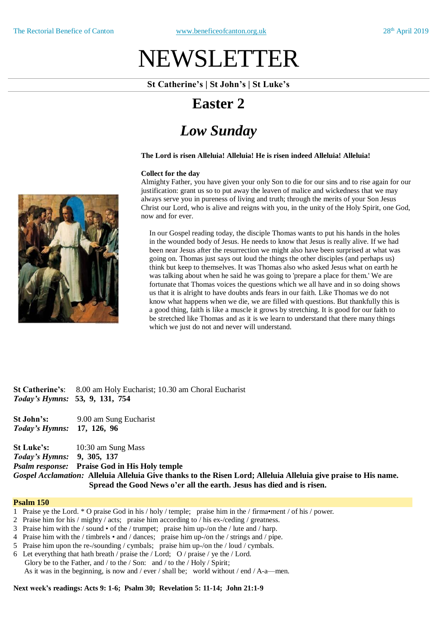# NEWSLETTER

#### **St Catherine's | St John's | St Luke's**

### **Easter 2**

## *Low Sunday*

#### **The Lord is risen Alleluia! Alleluia! He is risen indeed Alleluia! Alleluia!**

#### **Collect for the day**

Almighty Father, you have given your only Son to die for our sins and to rise again for our justification: grant us so to put away the leaven of malice and wickedness that we may always serve you in pureness of living and truth; through the merits of your Son Jesus Christ our Lord, who is alive and reigns with you, in the unity of the Holy Spirit, one God, now and for ever.

In our Gospel reading today, the disciple Thomas wants to put his hands in the holes in the wounded body of Jesus. He needs to know that Jesus is really alive. If we had been near Jesus after the resurrection we might also have been surprised at what was going on. Thomas just says out loud the things the other disciples (and perhaps us) think but keep to themselves. It was Thomas also who asked Jesus what on earth he was talking about when he said he was going to 'prepare a place for them.' We are fortunate that Thomas voices the questions which we all have and in so doing shows us that it is alright to have doubts ands fears in our faith. Like Thomas we do not know what happens when we die, we are filled with questions. But thankfully this is a good thing, faith is like a muscle it grows by stretching. It is good for our faith to be stretched like Thomas and as it is we learn to understand that there many things which we just do not and never will understand.

**St Catherine's**: 8.00 am Holy Eucharist; 10.30 am Choral Eucharist *Today's Hymns:* **53, 9, 131, 754**

**St John's:** 9.00 am Sung Eucharist *Today's Hymns:* **17, 126, 96**

**St Luke's:** 10:30 am Sung Mass *Today's Hymns:* **9, 305, 137** *Psalm response:* **Praise God in His Holy temple** Gospel Acclamation: Alleluia Alleluia Give thanks to the Risen Lord: Alleluia Alleluia give praise to His name. **Spread the Good News o'er all the earth. Jesus has died and is risen.**

#### **Psalm 150**

- 1 Praise ye the Lord. \* O praise God in his / holy / temple; praise him in the / firma•ment / of his / power.
- 2 Praise him for his / mighty / acts; praise him according to / his ex-/ceding / greatness.
- 3 Praise him with the / sound of the / trumpet; praise him up-/on the / lute and / harp.
- 4 Praise him with the / timbrels and / dances; praise him up-/on the / strings and / pipe.
- 5 Praise him upon the re-/sounding / cymbals; praise him up-/on the / loud / cymbals.
- Let everything that hath breath / praise the / Lord; O / praise / ye the / Lord. Glory be to the Father, and / to the / Son: and / to the / Holy / Spirit; As it was in the beginning, is now and / ever / shall be; world without / end / A-a—men.

**Next week's readings: Acts 9: 1-6; Psalm 30; Revelation 5: 11-14; John 21:1-9**